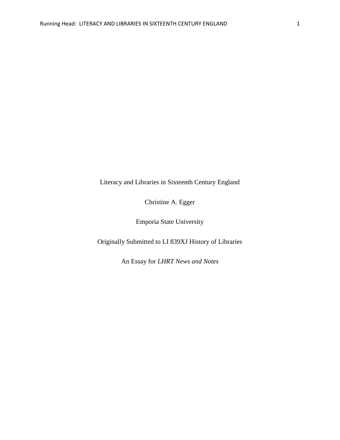Literacy and Libraries in Sixteenth Century England

Christine A. Egger

Emporia State University

Originally Submitted to LI 839XJ History of Libraries

An Essay for *LHRT News and Notes*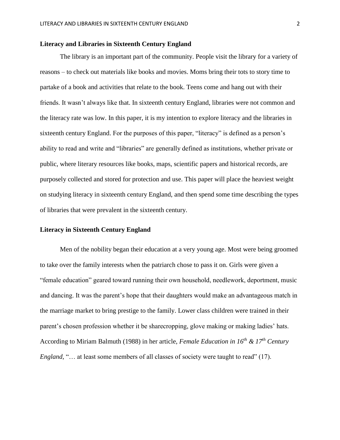# **Literacy and Libraries in Sixteenth Century England**

The library is an important part of the community. People visit the library for a variety of reasons – to check out materials like books and movies. Moms bring their tots to story time to partake of a book and activities that relate to the book. Teens come and hang out with their friends. It wasn't always like that. In sixteenth century England, libraries were not common and the literacy rate was low. In this paper, it is my intention to explore literacy and the libraries in sixteenth century England. For the purposes of this paper, "literacy" is defined as a person's ability to read and write and "libraries" are generally defined as institutions, whether private or public, where literary resources like books, maps, scientific papers and historical records, are purposely collected and stored for protection and use. This paper will place the heaviest weight on studying literacy in sixteenth century England, and then spend some time describing the types of libraries that were prevalent in the sixteenth century.

# **Literacy in Sixteenth Century England**

Men of the nobility began their education at a very young age. Most were being groomed to take over the family interests when the patriarch chose to pass it on. Girls were given a "female education" geared toward running their own household, needlework, deportment, music and dancing. It was the parent's hope that their daughters would make an advantageous match in the marriage market to bring prestige to the family. Lower class children were trained in their parent's chosen profession whether it be sharecropping, glove making or making ladies' hats. According to Miriam Balmuth (1988) in her article, *Female Education in 16th & 17th Century England,* "... at least some members of all classes of society were taught to read" (17).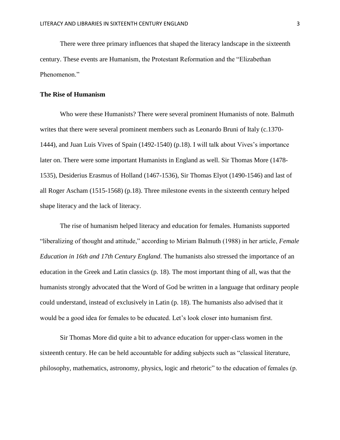There were three primary influences that shaped the literacy landscape in the sixteenth century. These events are Humanism, the Protestant Reformation and the "Elizabethan Phenomenon."

#### **The Rise of Humanism**

Who were these Humanists? There were several prominent Humanists of note. Balmuth writes that there were several prominent members such as Leonardo Bruni of Italy (c.1370- 1444), and Juan Luis Vives of Spain (1492-1540) (p.18). I will talk about Vives's importance later on. There were some important Humanists in England as well. Sir Thomas More (1478- 1535), Desiderius Erasmus of Holland (1467-1536), Sir Thomas Elyot (1490-1546) and last of all Roger Ascham (1515-1568) (p.18). Three milestone events in the sixteenth century helped shape literacy and the lack of literacy.

The rise of humanism helped literacy and education for females. Humanists supported "liberalizing of thought and attitude," according to Miriam Balmuth (1988) in her article, *Female Education in 16th and 17th Century England*. The humanists also stressed the importance of an education in the Greek and Latin classics (p. 18). The most important thing of all, was that the humanists strongly advocated that the Word of God be written in a language that ordinary people could understand, instead of exclusively in Latin (p. 18). The humanists also advised that it would be a good idea for females to be educated. Let's look closer into humanism first.

Sir Thomas More did quite a bit to advance education for upper-class women in the sixteenth century. He can be held accountable for adding subjects such as "classical literature, philosophy, mathematics, astronomy, physics, logic and rhetoric" to the education of females (p.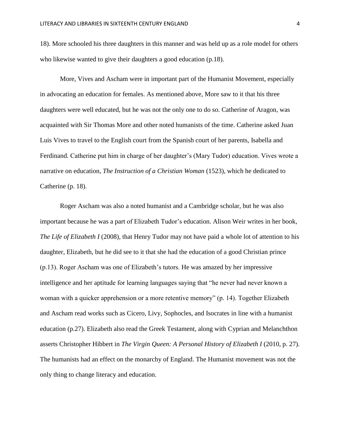18). More schooled his three daughters in this manner and was held up as a role model for others who likewise wanted to give their daughters a good education (p.18).

More, Vives and Ascham were in important part of the Humanist Movement, especially in advocating an education for females. As mentioned above, More saw to it that his three daughters were well educated, but he was not the only one to do so. Catherine of Aragon, was acquainted with Sir Thomas More and other noted humanists of the time. Catherine asked Juan Luis Vives to travel to the English court from the Spanish court of her parents, Isabella and Ferdinand. Catherine put him in charge of her daughter's (Mary Tudor) education. Vives wrote a narrative on education, *The Instruction of a Christian Woman* (1523), which he dedicated to Catherine (p. 18).

Roger Ascham was also a noted humanist and a Cambridge scholar, but he was also important because he was a part of Elizabeth Tudor's education. Alison Weir writes in her book, *The Life of Elizabeth I* (2008), that Henry Tudor may not have paid a whole lot of attention to his daughter, Elizabeth, but he did see to it that she had the education of a good Christian prince (p.13). Roger Ascham was one of Elizabeth's tutors. He was amazed by her impressive intelligence and her aptitude for learning languages saying that "he never had never known a woman with a quicker apprehension or a more retentive memory" (p. 14). Together Elizabeth and Ascham read works such as Cicero, Livy, Sophocles, and Isocrates in line with a humanist education (p.27). Elizabeth also read the Greek Testament, along with Cyprian and Melanchthon asserts Christopher Hibbert in *The Virgin Queen: A Personal History of Elizabeth I* (2010, p. 27). The humanists had an effect on the monarchy of England. The Humanist movement was not the only thing to change literacy and education.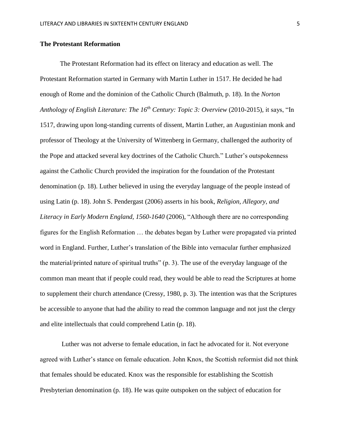### **The Protestant Reformation**

The Protestant Reformation had its effect on literacy and education as well. The Protestant Reformation started in Germany with Martin Luther in 1517. He decided he had enough of Rome and the dominion of the Catholic Church (Balmuth, p. 18). In the *Norton Anthology of English Literature: The 16th Century: Topic 3: Overview* (2010-2015)*,* it says, "In 1517, drawing upon long-standing currents of dissent, Martin Luther, an Augustinian monk and professor of Theology at the University of Wittenberg in Germany, challenged the authority of the Pope and attacked several key doctrines of the Catholic Church." Luther's outspokenness against the Catholic Church provided the inspiration for the foundation of the Protestant denomination (p. 18). Luther believed in using the everyday language of the people instead of using Latin (p. 18). John S. Pendergast (2006) asserts in his book, *Religion, Allegory*, *and Literacy in Early Modern England, 1560-1640* (2006), "Although there are no corresponding figures for the English Reformation … the debates began by Luther were propagated via printed word in England. Further, Luther's translation of the Bible into vernacular further emphasized the material/printed nature of spiritual truths" (p. 3). The use of the everyday language of the common man meant that if people could read, they would be able to read the Scriptures at home to supplement their church attendance (Cressy, 1980, p. 3). The intention was that the Scriptures be accessible to anyone that had the ability to read the common language and not just the clergy and elite intellectuals that could comprehend Latin (p. 18).

Luther was not adverse to female education, in fact he advocated for it. Not everyone agreed with Luther's stance on female education. John Knox, the Scottish reformist did not think that females should be educated. Knox was the responsible for establishing the Scottish Presbyterian denomination (p. 18). He was quite outspoken on the subject of education for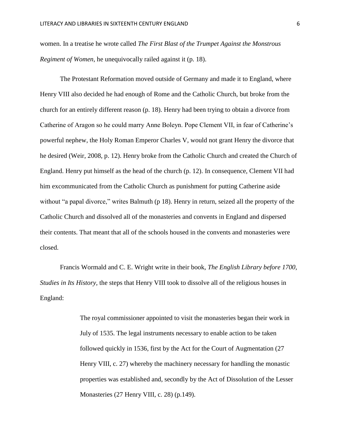women. In a treatise he wrote called *The First Blast of the Trumpet Against the Monstrous Regiment of Women*, he unequivocally railed against it (p. 18).

The Protestant Reformation moved outside of Germany and made it to England, where Henry VIII also decided he had enough of Rome and the Catholic Church, but broke from the church for an entirely different reason (p. 18). Henry had been trying to obtain a divorce from Catherine of Aragon so he could marry Anne Boleyn. Pope Clement VII, in fear of Catherine's powerful nephew, the Holy Roman Emperor Charles V, would not grant Henry the divorce that he desired (Weir, 2008, p. 12). Henry broke from the Catholic Church and created the Church of England. Henry put himself as the head of the church (p. 12). In consequence, Clement VII had him excommunicated from the Catholic Church as punishment for putting Catherine aside without "a papal divorce," writes Balmuth (p 18). Henry in return, seized all the property of the Catholic Church and dissolved all of the monasteries and convents in England and dispersed their contents. That meant that all of the schools housed in the convents and monasteries were closed.

Francis Wormald and C. E. Wright write in their book, *The English Library before 1700, Studies in Its History,* the steps that Henry VIII took to dissolve all of the religious houses in England:

> The royal commissioner appointed to visit the monasteries began their work in July of 1535. The legal instruments necessary to enable action to be taken followed quickly in 1536, first by the Act for the Court of Augmentation (27 Henry VIII, c. 27) whereby the machinery necessary for handling the monastic properties was established and, secondly by the Act of Dissolution of the Lesser Monasteries (27 Henry VIII, c. 28) (p.149).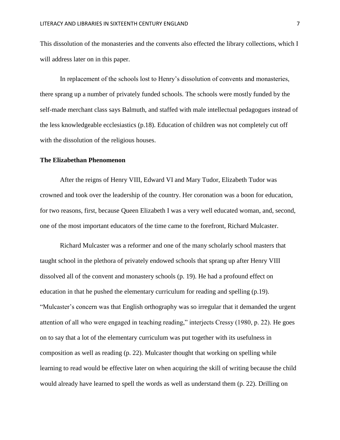This dissolution of the monasteries and the convents also effected the library collections, which I will address later on in this paper.

In replacement of the schools lost to Henry's dissolution of convents and monasteries, there sprang up a number of privately funded schools. The schools were mostly funded by the self-made merchant class says Balmuth, and staffed with male intellectual pedagogues instead of the less knowledgeable ecclesiastics (p.18). Education of children was not completely cut off with the dissolution of the religious houses.

#### **The Elizabethan Phenomenon**

After the reigns of Henry VIII, Edward VI and Mary Tudor, Elizabeth Tudor was crowned and took over the leadership of the country. Her coronation was a boon for education, for two reasons, first, because Queen Elizabeth I was a very well educated woman, and, second, one of the most important educators of the time came to the forefront, Richard Mulcaster.

Richard Mulcaster was a reformer and one of the many scholarly school masters that taught school in the plethora of privately endowed schools that sprang up after Henry VIII dissolved all of the convent and monastery schools (p. 19). He had a profound effect on education in that he pushed the elementary curriculum for reading and spelling (p.19). "Mulcaster's concern was that English orthography was so irregular that it demanded the urgent attention of all who were engaged in teaching reading," interjects Cressy (1980, p. 22). He goes on to say that a lot of the elementary curriculum was put together with its usefulness in composition as well as reading (p. 22). Mulcaster thought that working on spelling while learning to read would be effective later on when acquiring the skill of writing because the child would already have learned to spell the words as well as understand them (p. 22). Drilling on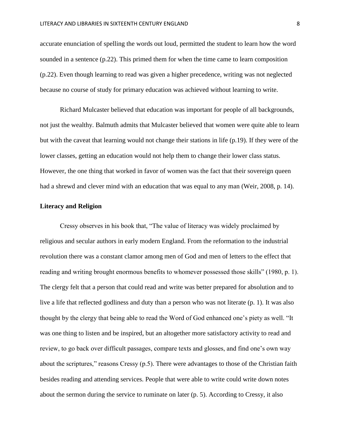accurate enunciation of spelling the words out loud, permitted the student to learn how the word sounded in a sentence (p.22). This primed them for when the time came to learn composition (p.22). Even though learning to read was given a higher precedence, writing was not neglected because no course of study for primary education was achieved without learning to write.

Richard Mulcaster believed that education was important for people of all backgrounds, not just the wealthy. Balmuth admits that Mulcaster believed that women were quite able to learn but with the caveat that learning would not change their stations in life (p.19). If they were of the lower classes, getting an education would not help them to change their lower class status. However, the one thing that worked in favor of women was the fact that their sovereign queen had a shrewd and clever mind with an education that was equal to any man (Weir, 2008, p. 14).

### **Literacy and Religion**

Cressy observes in his book that, "The value of literacy was widely proclaimed by religious and secular authors in early modern England. From the reformation to the industrial revolution there was a constant clamor among men of God and men of letters to the effect that reading and writing brought enormous benefits to whomever possessed those skills" (1980, p. 1). The clergy felt that a person that could read and write was better prepared for absolution and to live a life that reflected godliness and duty than a person who was not literate (p. 1). It was also thought by the clergy that being able to read the Word of God enhanced one's piety as well. "It was one thing to listen and be inspired, but an altogether more satisfactory activity to read and review, to go back over difficult passages, compare texts and glosses, and find one's own way about the scriptures," reasons Cressy (p.5). There were advantages to those of the Christian faith besides reading and attending services. People that were able to write could write down notes about the sermon during the service to ruminate on later (p. 5). According to Cressy, it also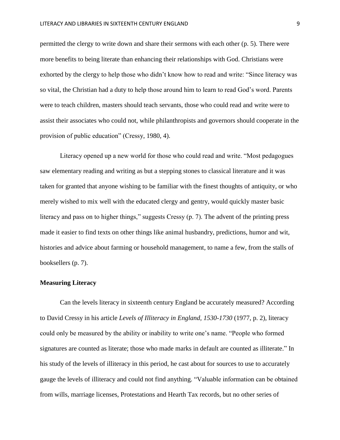permitted the clergy to write down and share their sermons with each other (p. 5). There were more benefits to being literate than enhancing their relationships with God. Christians were exhorted by the clergy to help those who didn't know how to read and write: "Since literacy was so vital, the Christian had a duty to help those around him to learn to read God's word. Parents were to teach children, masters should teach servants, those who could read and write were to assist their associates who could not, while philanthropists and governors should cooperate in the provision of public education" (Cressy, 1980, 4).

Literacy opened up a new world for those who could read and write. "Most pedagogues saw elementary reading and writing as but a stepping stones to classical literature and it was taken for granted that anyone wishing to be familiar with the finest thoughts of antiquity, or who merely wished to mix well with the educated clergy and gentry, would quickly master basic literacy and pass on to higher things," suggests Cressy (p. 7). The advent of the printing press made it easier to find texts on other things like animal husbandry, predictions, humor and wit, histories and advice about farming or household management, to name a few, from the stalls of booksellers (p. 7).

### **Measuring Literacy**

Can the levels literacy in sixteenth century England be accurately measured? According to David Cressy in his article *Levels of Illiteracy in England, 1530-1730* (1977, p. 2)*,* literacy could only be measured by the ability or inability to write one's name. "People who formed signatures are counted as literate; those who made marks in default are counted as illiterate." In his study of the levels of illiteracy in this period, he cast about for sources to use to accurately gauge the levels of illiteracy and could not find anything. "Valuable information can be obtained from wills, marriage licenses, Protestations and Hearth Tax records, but no other series of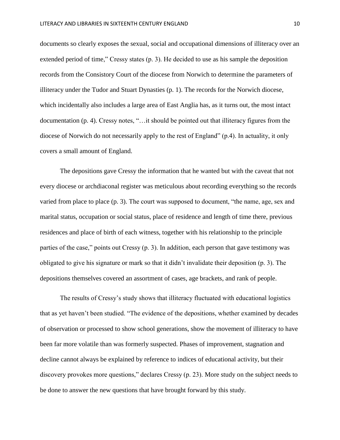documents so clearly exposes the sexual, social and occupational dimensions of illiteracy over an extended period of time," Cressy states (p. 3). He decided to use as his sample the deposition records from the Consistory Court of the diocese from Norwich to determine the parameters of illiteracy under the Tudor and Stuart Dynasties (p. 1). The records for the Norwich diocese, which incidentally also includes a large area of East Anglia has, as it turns out, the most intact documentation (p. 4). Cressy notes, "…it should be pointed out that illiteracy figures from the diocese of Norwich do not necessarily apply to the rest of England" (p.4). In actuality, it only covers a small amount of England.

The depositions gave Cressy the information that he wanted but with the caveat that not every diocese or archdiaconal register was meticulous about recording everything so the records varied from place to place (p. 3). The court was supposed to document, "the name, age, sex and marital status, occupation or social status, place of residence and length of time there, previous residences and place of birth of each witness, together with his relationship to the principle parties of the case," points out Cressy (p. 3). In addition, each person that gave testimony was obligated to give his signature or mark so that it didn't invalidate their deposition (p. 3). The depositions themselves covered an assortment of cases, age brackets, and rank of people.

The results of Cressy's study shows that illiteracy fluctuated with educational logistics that as yet haven't been studied. "The evidence of the depositions, whether examined by decades of observation or processed to show school generations, show the movement of illiteracy to have been far more volatile than was formerly suspected. Phases of improvement, stagnation and decline cannot always be explained by reference to indices of educational activity, but their discovery provokes more questions," declares Cressy (p. 23). More study on the subject needs to be done to answer the new questions that have brought forward by this study.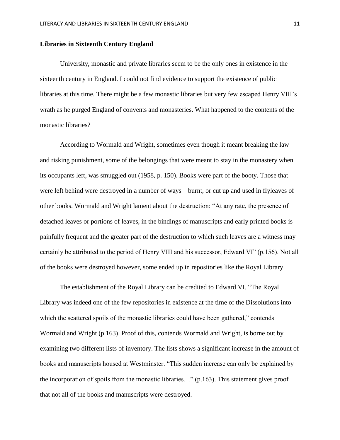### **Libraries in Sixteenth Century England**

University, monastic and private libraries seem to be the only ones in existence in the sixteenth century in England. I could not find evidence to support the existence of public libraries at this time. There might be a few monastic libraries but very few escaped Henry VIII's wrath as he purged England of convents and monasteries. What happened to the contents of the monastic libraries?

According to Wormald and Wright, sometimes even though it meant breaking the law and risking punishment, some of the belongings that were meant to stay in the monastery when its occupants left, was smuggled out (1958, p. 150). Books were part of the booty. Those that were left behind were destroyed in a number of ways – burnt, or cut up and used in flyleaves of other books. Wormald and Wright lament about the destruction: "At any rate, the presence of detached leaves or portions of leaves, in the bindings of manuscripts and early printed books is painfully frequent and the greater part of the destruction to which such leaves are a witness may certainly be attributed to the period of Henry VIII and his successor, Edward VI" (p.156). Not all of the books were destroyed however, some ended up in repositories like the Royal Library.

The establishment of the Royal Library can be credited to Edward VI. "The Royal Library was indeed one of the few repositories in existence at the time of the Dissolutions into which the scattered spoils of the monastic libraries could have been gathered," contends Wormald and Wright (p.163). Proof of this, contends Wormald and Wright, is borne out by examining two different lists of inventory. The lists shows a significant increase in the amount of books and manuscripts housed at Westminster. "This sudden increase can only be explained by the incorporation of spoils from the monastic libraries…" (p.163). This statement gives proof that not all of the books and manuscripts were destroyed.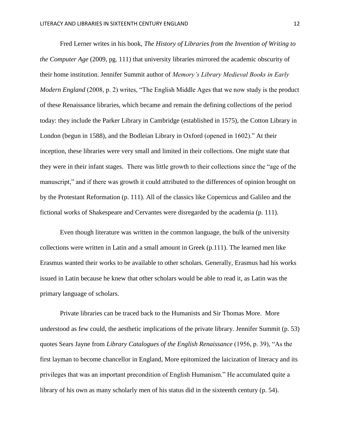Fred Lerner writes in his book, *The History of Libraries from the Invention of Writing to the Computer Age* (2009, pg. 111) that university libraries mirrored the academic obscurity of their home institution. Jennifer Summit author of *Memory's Library Medieval Books in Early Modern England* (2008, p. 2) writes, "The English Middle Ages that we now study is the product of these Renaissance libraries, which became and remain the defining collections of the period today: they include the Parker Library in Cambridge (established in 1575), the Cotton Library in London (begun in 1588), and the Bodleian Library in Oxford (opened in 1602)." At their inception, these libraries were very small and limited in their collections. One might state that they were in their infant stages. There was little growth to their collections since the "age of the manuscript," and if there was growth it could attributed to the differences of opinion brought on by the Protestant Reformation (p. 111). All of the classics like Copernicus and Galileo and the fictional works of Shakespeare and Cervantes were disregarded by the academia (p. 111).

Even though literature was written in the common language, the bulk of the university collections were written in Latin and a small amount in Greek (p.111). The learned men like Erasmus wanted their works to be available to other scholars. Generally, Erasmus had his works issued in Latin because he knew that other scholars would be able to read it, as Latin was the primary language of scholars.

Private libraries can be traced back to the Humanists and Sir Thomas More. More understood as few could, the aesthetic implications of the private library. Jennifer Summit (p. 53) quotes Sears Jayne from *Library Catalogues of the English Renaissance* (1956, p. 39), "As the first layman to become chancellor in England, More epitomized the laicization of literacy and its privileges that was an important precondition of English Humanism." He accumulated quite a library of his own as many scholarly men of his status did in the sixteenth century (p. 54).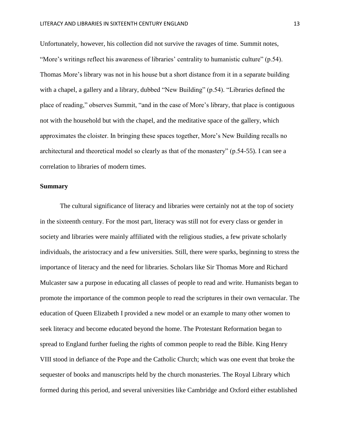Unfortunately, however, his collection did not survive the ravages of time. Summit notes, "More's writings reflect his awareness of libraries' centrality to humanistic culture" (p.54). Thomas More's library was not in his house but a short distance from it in a separate building with a chapel, a gallery and a library, dubbed "New Building" (p.54). "Libraries defined the place of reading," observes Summit, "and in the case of More's library, that place is contiguous not with the household but with the chapel, and the meditative space of the gallery, which approximates the cloister. In bringing these spaces together, More's New Building recalls no architectural and theoretical model so clearly as that of the monastery" (p.54-55). I can see a correlation to libraries of modern times.

## **Summary**

The cultural significance of literacy and libraries were certainly not at the top of society in the sixteenth century. For the most part, literacy was still not for every class or gender in society and libraries were mainly affiliated with the religious studies, a few private scholarly individuals, the aristocracy and a few universities. Still, there were sparks, beginning to stress the importance of literacy and the need for libraries. Scholars like Sir Thomas More and Richard Mulcaster saw a purpose in educating all classes of people to read and write. Humanists began to promote the importance of the common people to read the scriptures in their own vernacular. The education of Queen Elizabeth I provided a new model or an example to many other women to seek literacy and become educated beyond the home. The Protestant Reformation began to spread to England further fueling the rights of common people to read the Bible. King Henry VIII stood in defiance of the Pope and the Catholic Church; which was one event that broke the sequester of books and manuscripts held by the church monasteries. The Royal Library which formed during this period, and several universities like Cambridge and Oxford either established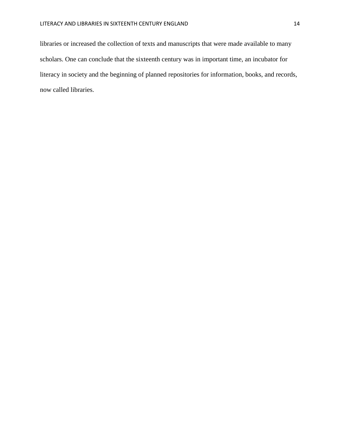libraries or increased the collection of texts and manuscripts that were made available to many scholars. One can conclude that the sixteenth century was in important time, an incubator for literacy in society and the beginning of planned repositories for information, books, and records, now called libraries.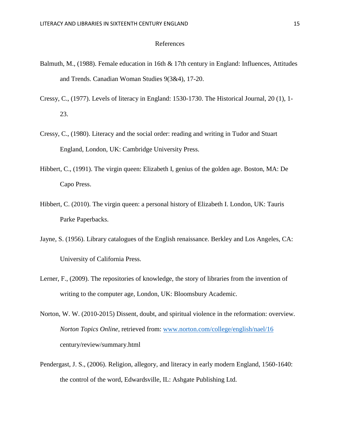# References

- Balmuth, M., (1988). Female education in 16th & 17th century in England: Influences, Attitudes and Trends. Canadian Woman Studies 9(3&4), 17-20.
- Cressy, C., (1977). Levels of literacy in England: 1530-1730. The Historical Journal, 20 (1), 1- 23.
- Cressy, C., (1980). Literacy and the social order: reading and writing in Tudor and Stuart England, London, UK: Cambridge University Press.
- Hibbert, C., (1991). The virgin queen: Elizabeth I, genius of the golden age. Boston, MA: De Capo Press.
- Hibbert, C. (2010). The virgin queen: a personal history of Elizabeth I. London, UK: Tauris Parke Paperbacks.
- Jayne, S. (1956). Library catalogues of the English renaissance. Berkley and Los Angeles, CA: University of California Press.
- Lerner, F., (2009). The repositories of knowledge, the story of libraries from the invention of writing to the computer age, London, UK: Bloomsbury Academic.
- Norton, W. W. (2010-2015) Dissent, doubt, and spiritual violence in the reformation: overview*. Norton Topics Online*, retrieved from: [www.norton.com/college/english/nael/16](http://www.norton.com/college/english/nael/16) century/review/summary.html
- Pendergast, J. S., (2006). Religion, allegory, and literacy in early modern England, 1560-1640: the control of the word, Edwardsville, IL: Ashgate Publishing Ltd.